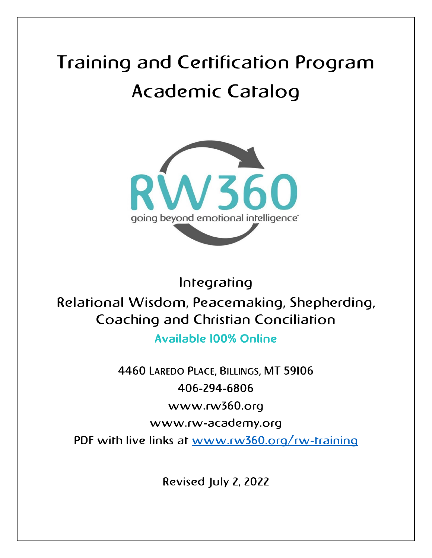# Training and Certification Program Academic Catalog



Integrating Relational Wisdom, Peacemaking, Shepherding, Coaching and Christian Conciliation Available 100% Online

> 4460 LAREDO PLACE, BILLINGS, MT 59106 406-294-6806 www.rw360.org

> > www.rw-academy.org

PDF with live links at [www.rw360.org/rw-training](http://www.rw360.org/rw-training)

Revised July 2, 2022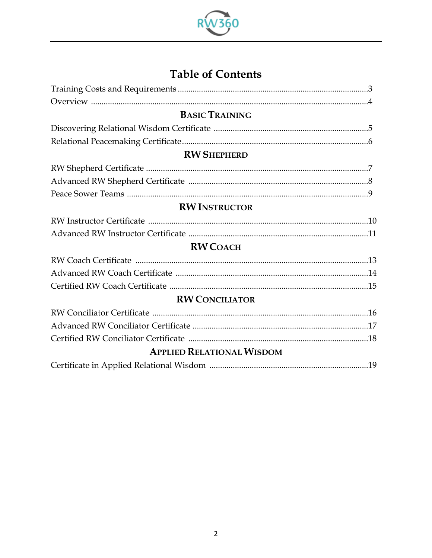

## **Table of Contents**

| <b>BASIC TRAINING</b>            |  |
|----------------------------------|--|
|                                  |  |
|                                  |  |
| <b>RW SHEPHERD</b>               |  |
|                                  |  |
|                                  |  |
|                                  |  |
| <b>RW INSTRUCTOR</b>             |  |
|                                  |  |
|                                  |  |
| <b>RW COACH</b>                  |  |
|                                  |  |
|                                  |  |
|                                  |  |
| <b>RW CONCILIATOR</b>            |  |
|                                  |  |
|                                  |  |
|                                  |  |
| <b>APPLIED RELATIONAL WISDOM</b> |  |
|                                  |  |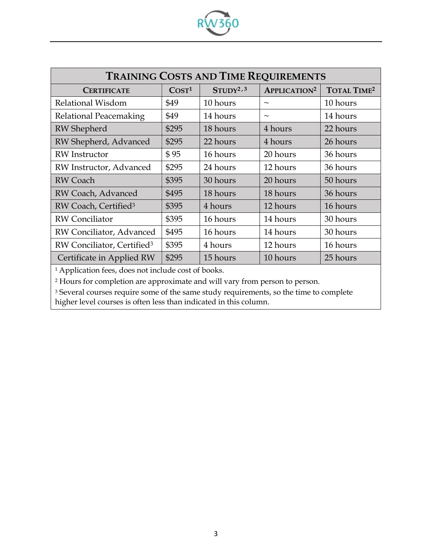| <b>TRAINING COSTS AND TIME REQUIREMENTS</b> |                   |                      |                                |                               |
|---------------------------------------------|-------------------|----------------------|--------------------------------|-------------------------------|
| <b>CERTIFICATE</b>                          | COST <sup>1</sup> | STUDY <sup>2,3</sup> | <b>APPLICATION<sup>2</sup></b> | <b>TOTAL TIME<sup>2</sup></b> |
| Relational Wisdom                           | \$49              | 10 hours             | $\tilde{\phantom{m}}$          | 10 hours                      |
| Relational Peacemaking                      | \$49              | 14 hours             | $\sim$                         | 14 hours                      |
| <b>RW</b> Shepherd                          | \$295             | 18 hours             | 4 hours                        | 22 hours                      |
| RW Shepherd, Advanced                       | \$295             | 22 hours             | 4 hours                        | 26 hours                      |
| <b>RW</b> Instructor                        | \$95              | 16 hours             | 20 hours                       | 36 hours                      |
| RW Instructor, Advanced                     | \$295             | 24 hours             | 12 hours                       | 36 hours                      |
| <b>RW</b> Coach                             | \$395             | 30 hours             | 20 hours                       | 50 hours                      |
| RW Coach, Advanced                          | \$495             | 18 hours             | 18 hours                       | 36 hours                      |
| RW Coach, Certified <sup>3</sup>            | \$395             | 4 hours              | 12 hours                       | 16 hours                      |
| <b>RW</b> Conciliator                       | \$395             | 16 hours             | 14 hours                       | 30 hours                      |
| RW Conciliator, Advanced                    | \$495             | 16 hours             | 14 hours                       | 30 hours                      |
| RW Conciliator, Certified <sup>3</sup>      | \$395             | 4 hours              | 12 hours                       | 16 hours                      |
| Certificate in Applied RW                   | \$295             | 15 hours             | 10 hours                       | 25 hours                      |

60

<sup>1</sup> Application fees, does not include cost of books.

<sup>2</sup> Hours for completion are approximate and will vary from person to person.

<sup>3</sup> Several courses require some of the same study requirements, so the time to complete higher level courses is often less than indicated in this column.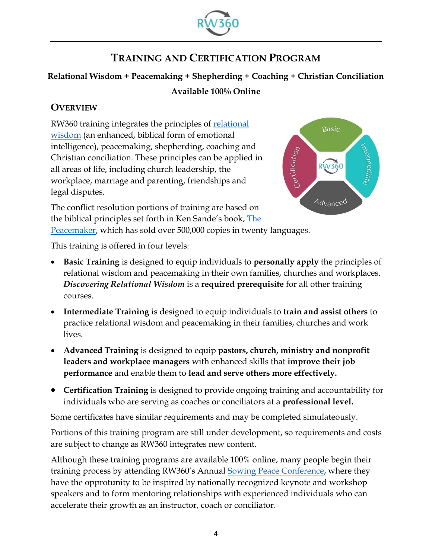

## **TRAINING AND CERTIFICATION PROGRAM**

#### **Relational Wisdom + Peacemaking + Shepherding + Coaching + Christian Conciliation**

#### **Available 100% Online**

#### **OVERVIEW**

RW360 training integrates the principles of [relational](https://rw360.org/discover-rw/)  [wisdom](https://rw360.org/discover-rw/) (an enhanced, biblical form of emotional intelligence), peacemaking, shepherding, coaching and Christian conciliation. These principles can be applied in all areas of life, including church leadership, the workplace, marriage and parenting, friendships and legal disputes.



The conflict resolution portions of training are based on the biblical principles set forth in Ken Sande's book, [The](https://rw360.org/biblical-peacemaking/) 

[Peacemaker,](https://rw360.org/biblical-peacemaking/) which has sold over 500,000 copies in twenty languages.

This training is offered in four levels:

- **Basic Training** is designed to equip individuals to **personally apply** the principles of relational wisdom and peacemaking in their own families, churches and workplaces. *Discovering Relational Wisdom* is a **required prerequisite** for all other training courses.
- **Intermediate Training** is designed to equip individuals to **train and assist others** to practice relational wisdom and peacemaking in their families, churches and work lives.
- **Advanced Training** is designed to equip **pastors, church, ministry and nonprofit leaders and workplace managers** with enhanced skills that **improve their job performance** and enable them to **lead and serve others more effectively.**
- **Certification Training** is designed to provide ongoing training and accountability for individuals who are serving as coaches or conciliators at a **professional level.**

Some certificates have similar requirements and may be completed simulateously.

Portions of this training program are still under development, so requirements and costs are subject to change as RW360 integrates new content.

Although these training programs are available 100% online, many people begin their training process by attending RW360's Annual [Sowing Peace Conference,](https://rw360.org/2022ac) where they have the opprotunity to be inspired by nationally recognized keynote and workshop speakers and to form mentoring relationships with experienced individuals who can accelerate their growth as an instructor, coach or conciliator.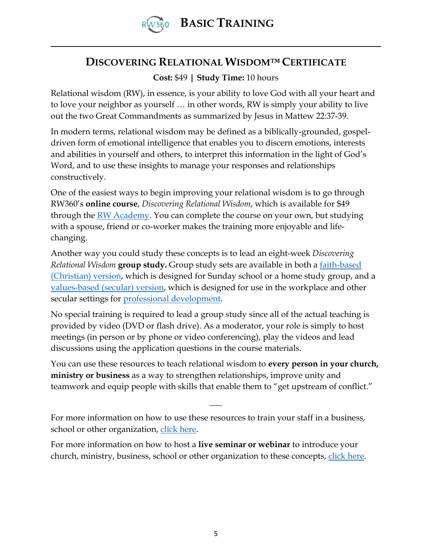

### **DISCOVERING RELATIONAL WISDOM™ CERTIFICATE**

#### **Cost:** \$49 **| Study Time:** 10 hours

Relational wisdom (RW), in essence, is your ability to love God with all your heart and to love your neighbor as yourself … in other words, RW is simply your ability to live out the two Great Commandments as summarized by Jesus in Mattew 22:37-39.

In modern terms, relational wisdom may be defined as a biblically-grounded, gospeldriven form of emotional intelligence that enables you to discern emotions, interests and abilities in yourself and others, to interpret this information in the light of God's Word, and to use these insights to manage your responses and relationships constructively.

One of the easiest ways to begin improving your relational wisdom is to go through RW360's **online course**, *Discovering Relational Wisdom*, which is available for \$49 through the <u>RW Academy</u>. You can complete the course on your own, but studying with a spouse, friend or co-worker makes the training more enjoyable and lifechanging.

Another way you could study these concepts is to lead an eight-week *Discovering Relational Wisdom* **group study.** Group study sets are available in both a [faith-based](https://rw360.org/product/discovering-relational-wisdom-3-0-dvd-set/)  [\(Christian\) version,](https://rw360.org/product/discovering-relational-wisdom-3-0-dvd-set/) which is designed for Sunday school or a home study group, and a [values-based \(secular\) version,](https://rw360.org/product/exploring-rw-3-0-dvd-set-values-based/) which is designed for use in the workplace and other secular settings for [professional development.](http://www.rw360.org/double-benefit)

No special training is required to lead a group study since all of the actual teaching is provided by video (DVD or flash drive). As a moderator, your role is simply to host meetings (in person or by phone or video conferencing), play the videos and lead discussions using the application questions in the course materials.

You can use these resources to teach relational wisdom to **every person in your church, ministry or business** as a way to strengthen relationships, improve unity and teamwork and equip people with skills that enable them to "get upstream of conflict."

 $\overline{\phantom{a}}$ 

For more information on how to use these resources to train your staff in a business, school or other organization, [click here.](https://rw360.org/training-options/#staff)

For more information on how to host a **live seminar or webinar** to introduce your church, ministry, business, school or other organization to these concepts, [click here.](https://rw360.org/rw-seminar/)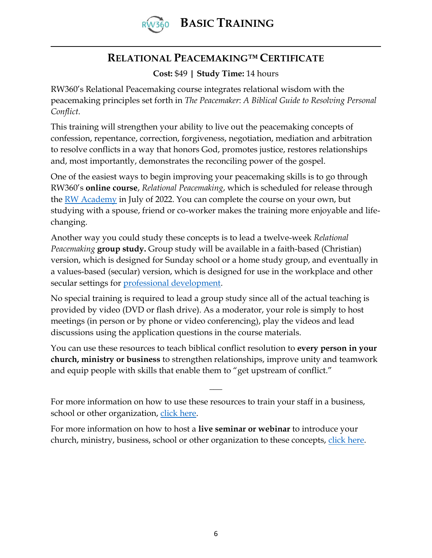

## **RELATIONAL PEACEMAKING™ CERTIFICATE**

**Cost:** \$49 **| Study Time:** 14 hours

RW360's Relational Peacemaking course integrates relational wisdom with the peacemaking principles set forth in *The Peacemaker*: *A Biblical Guide to Resolving Personal Conflict.*

This training will strengthen your ability to live out the peacemaking concepts of confession, repentance, correction, forgiveness, negotiation, mediation and arbitration to resolve conflicts in a way that honors God, promotes justice, restores relationships and, most importantly, demonstrates the reconciling power of the gospel.

One of the easiest ways to begin improving your peacemaking skills is to go through RW360's **online course**, *Relational Peacemaking*, which is scheduled for release through the [RW Academy](http://www.rw-academy.org/) in July of 2022. You can complete the course on your own, but studying with a spouse, friend or co-worker makes the training more enjoyable and lifechanging.

Another way you could study these concepts is to lead a twelve-week *Relational Peacemaking* **group study.** Group study will be available in a faith-based (Christian) version, which is designed for Sunday school or a home study group, and eventually in a values-based (secular) version, which is designed for use in the workplace and other secular settings for [professional development.](http://www.rw360.org/double-benefit)

No special training is required to lead a group study since all of the actual teaching is provided by video (DVD or flash drive). As a moderator, your role is simply to host meetings (in person or by phone or video conferencing), play the videos and lead discussions using the application questions in the course materials.

You can use these resources to teach biblical conflict resolution to **every person in your church, ministry or business** to strengthen relationships, improve unity and teamwork and equip people with skills that enable them to "get upstream of conflict."

 $\overline{\phantom{a}}$ 

For more information on how to use these resources to train your staff in a business, school or other organization, [click here.](https://rw360.org/training-options/#staff)

For more information on how to host a **live seminar or webinar** to introduce your church, ministry, business, school or other organization to these concepts, [click here.](https://rw360.org/rw-seminar/)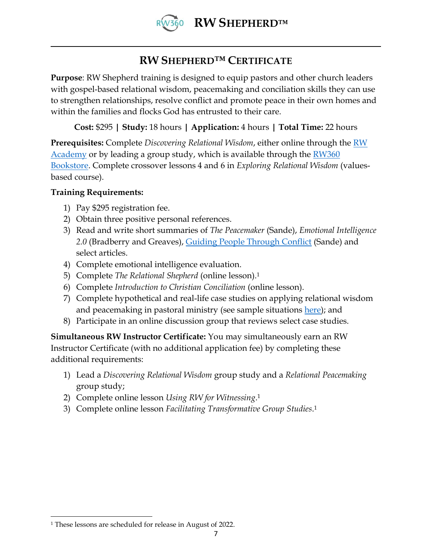

## **RW SHEPHERD™ CERTIFICATE**

**Purpose**: RW Shepherd training is designed to equip pastors and other church leaders with gospel-based relational wisdom, peacemaking and conciliation skills they can use to strengthen relationships, resolve conflict and promote peace in their own homes and within the families and flocks God has entrusted to their care.

**Cost:** \$295 **| Study:** 18 hours **| Application:** 4 hours **| Total Time:** 22 hours

**Prerequisites:** Complete *Discovering Relational Wisdom*, either online through the [RW](http://www.rw-academy.org/)  [Academy](http://www.rw-academy.org/) or by leading a group study, which is available through the **RW360** [Bookstore.](https://rw360.org/shop/) Complete crossover lessons 4 and 6 in *Exploring Relational Wisdom* (valuesbased course).

#### **Training Requirements:**

- 1) Pay \$295 registration fee.
- 2) Obtain three positive personal references.
- 3) Read and write short summaries of *The Peacemaker* (Sande), *Emotional Intelligence 2.0* (Bradberry and Greaves), [Guiding People Through Conflict](http://www.rw360.org/gptc) (Sande) and select articles.
- 4) Complete emotional intelligence evaluation.
- 5) Complete *The Relational Shepherd* (online lesson).<sup>1</sup>
- 6) Complete *Introduction to Christian Conciliation* (online lesson).
- 7) Complete hypothetical and real-life case studies on applying relational wisdom and peacemaking in pastoral ministry (see sample situations [here\)](https://rw360.org/tag/pastors/); and
- 8) Participate in an online discussion group that reviews select case studies.

**Simultaneous RW Instructor Certificate:** You may simultaneously earn an RW Instructor Certificate (with no additional application fee) by completing these additional requirements:

- 1) Lead a *Discovering Relational Wisdom* group study and a *Relational Peacemaking*  group study;
- 2) Complete online lesson *Using RW for Witnessing*. 1
- 3) Complete online lesson *Facilitating Transformative Group Studies*. 1

<sup>1</sup> These lessons are scheduled for release in August of 2022.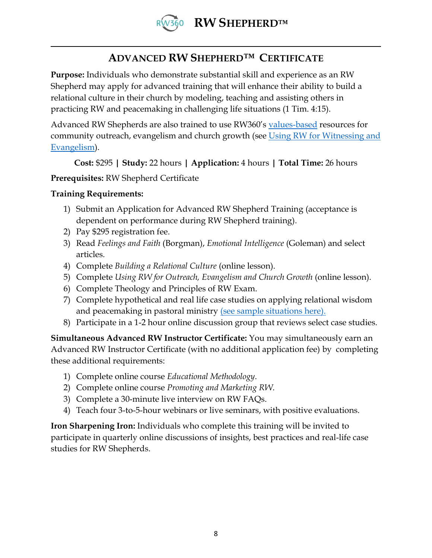

## **ADVANCED RW SHEPHERD™ CERTIFICATE**

**Purpose:** Individuals who demonstrate substantial skill and experience as an RW Shepherd may apply for advanced training that will enhance their ability to build a relational culture in their church by modeling, teaching and assisting others in practicing RW and peacemaking in challenging life situations (1 Tim. 4:15).

Advanced RW Shepherds are also trained to use RW360's [values-based](https://rw360.org/values-based-relational-wisdom/) resources for community outreach, evangelism and church growth (see [Using RW for Witnessing and](https://rw360.org/using-rw-for-witnessing-and-evangelism/)  [Evangelism\)](https://rw360.org/using-rw-for-witnessing-and-evangelism/).

**Cost:** \$295 **| Study:** 22 hours **| Application:** 4 hours **| Total Time:** 26 hours

#### **Prerequisites:** RW Shepherd Certificate

#### **Training Requirements:**

- 1) Submit an Application for Advanced RW Shepherd Training (acceptance is dependent on performance during RW Shepherd training).
- 2) Pay \$295 registration fee.
- 3) Read *Feelings and Faith* (Borgman), *Emotional Intelligence* (Goleman) and select articles.
- 4) Complete *Building a Relational Culture* (online lesson).
- 5) Complete *Using RW for Outreach, Evangelism and Church Growth* (online lesson).
- 6) Complete Theology and Principles of RW Exam.
- 7) Complete hypothetical and real life case studies on applying relational wisdom and peacemaking in pastoral ministry [\(see sample situations here\).](https://rw360.org/tag/pastors/)
- 8) Participate in a 1-2 hour online discussion group that reviews select case studies.

**Simultaneous Advanced RW Instructor Certificate:** You may simultaneously earn an Advanced RW Instructor Certificate (with no additional application fee) by completing these additional requirements:

- 1) Complete online course *Educational Methodology*.
- 2) Complete online course *Promoting and Marketing RW*.
- 3) Complete a 30-minute live interview on RW FAQs.
- 4) Teach four 3-to-5-hour webinars or live seminars, with positive evaluations.

**Iron Sharpening Iron:** Individuals who complete this training will be invited to participate in quarterly online discussions of insights, best practices and real-life case studies for RW Shepherds.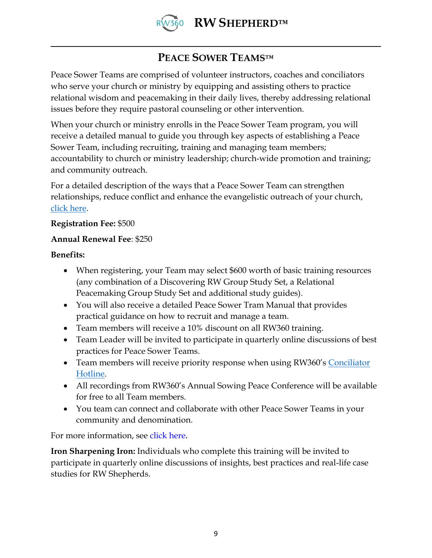

## **PEACE SOWER TEAMS™**

Peace Sower Teams are comprised of volunteer instructors, coaches and conciliators who serve your church or ministry by equipping and assisting others to practice relational wisdom and peacemaking in their daily lives, thereby addressing relational issues before they require pastoral counseling or other intervention.

When your church or ministry enrolls in the Peace Sower Team program, you will receive a detailed manual to guide you through key aspects of establishing a Peace Sower Team, including recruiting, training and managing team members; accountability to church or ministry leadership; church-wide promotion and training; and community outreach.

For a detailed description of the ways that a Peace Sower Team can strengthen relationships, reduce conflict and enhance the evangelistic outreach of your church, [click here.](https://rw360.org/peace-sower-team-training/)

#### **Registration Fee:** \$500

#### **Annual Renewal Fee**: \$250

**Benefits:** 

- When registering, your Team may select \$600 worth of basic training resources (any combination of a Discovering RW Group Study Set, a Relational Peacemaking Group Study Set and additional study guides).
- You will also receive a detailed Peace Sower Tram Manual that provides practical guidance on how to recruit and manage a team.
- Team members will receive a 10% discount on all RW360 training.
- Team Leader will be invited to participate in quarterly online discussions of best practices for Peace Sower Teams.
- Team members will receive priority response when using RW360's Conciliator [Hotline.](https://rw360.org/conciliation-hotline/)
- All recordings from RW360's Annual Sowing Peace Conference will be available for free to all Team members.
- You team can connect and collaborate with other Peace Sower Teams in your community and denomination.

For more information, see [click here](https://rw360.org/peace-sower-team-training/)**.**

**Iron Sharpening Iron:** Individuals who complete this training will be invited to participate in quarterly online discussions of insights, best practices and real-life case studies for RW Shepherds.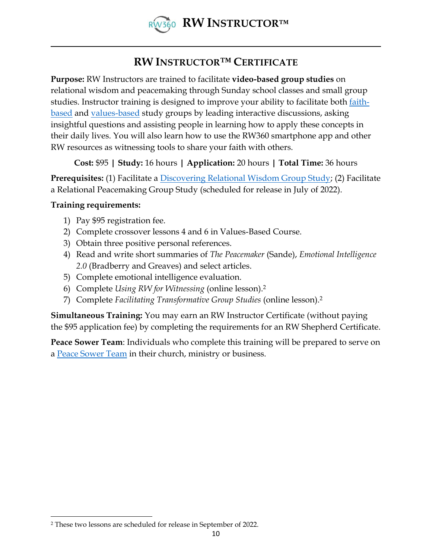

## **RW INSTRUCTOR™ CERTIFICATE**

**Purpose:** RW Instructors are trained to facilitate **video-based group studies** on relational wisdom and peacemaking through Sunday school classes and small group studies. Instructor training is designed to improve your ability to facilitate both <u>faith-</u> [based](https://rw360.org/discover-rw/) and [values-based](https://rw360.org/values-based-relational-wisdom/) study groups by leading interactive discussions, asking insightful questions and assisting people in learning how to apply these concepts in their daily lives. You will also learn how to use the RW360 smartphone app and other RW resources as witnessing tools to share your faith with others.

**Cost:** \$95 **| Study:** 16 hours **| Application:** 20 hours **| Total Time:** 36 hours

**Prerequisites:** (1) Facilitate a [Discovering Relational Wisdom Group Study;](https://rw360.org/product/discovering-relational-wisdom-3-0-dvd-set/) (2) Facilitate a Relational Peacemaking Group Study (scheduled for release in July of 2022).

#### **Training requirements:**

- 1) Pay \$95 registration fee.
- 2) Complete crossover lessons 4 and 6 in Values-Based Course.
- 3) Obtain three positive personal references.
- 4) Read and write short summaries of *The Peacemaker* (Sande), *Emotional Intelligence 2.0* (Bradberry and Greaves) and select articles.
- 5) Complete emotional intelligence evaluation.
- 6) Complete *Using RW for Witnessing* (online lesson).<sup>2</sup>
- 7) Complete *Facilitating Transformative Group Studies* (online lesson).<sup>2</sup>

**Simultaneous Training:** You may earn an RW Instructor Certificate (without paying the \$95 application fee) by completing the requirements for an RW Shepherd Certificate.

**Peace Sower Team**: Individuals who complete this training will be prepared to serve on a [Peace Sower Team](https://rw360.org/peace-sower-team-training/) in their church, ministry or business.

<sup>2</sup> These two lessons are scheduled for release in September of 2022.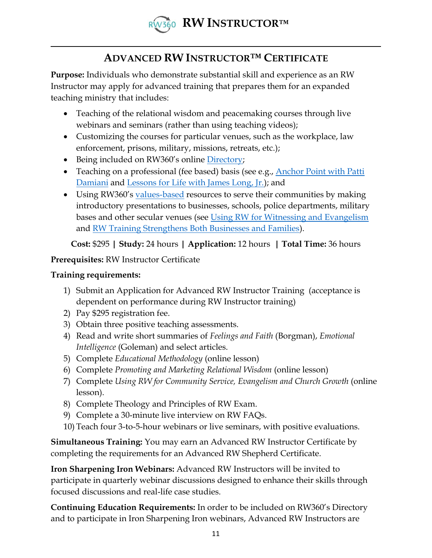

## **ADVANCED RW INSTRUCTOR™ CERTIFICATE**

**Purpose:** Individuals who demonstrate substantial skill and experience as an RW Instructor may apply for advanced training that prepares them for an expanded teaching ministry that includes:

- Teaching of the relational wisdom and peacemaking courses through live webinars and seminars (rather than using teaching videos);
- Customizing the courses for particular venues, such as the workplace, law enforcement, prisons, military, missions, retreats, etc.);
- Being included on RW360's online [Directory;](https://rw360.org/directory/)
- Teaching on a professional (fee based) basis (see e.g., Anchor Point with Patti [Damiani](https://anchorpointministry.org/relational-wisdom-2/) and [Lessons for Life with James Long, Jr.\)](https://jameslongjr.org/relational-wisdom-360/); and
- Using RW360's [values-based](https://rw360.org/values-based-relational-wisdom/) resources to serve their communities by making introductory presentations to businesses, schools, police departments, military bases and other secular venues (see [Using RW for Witnessing and Evangelism](https://rw360.org/using-rw-for-witnessing-and-evangelism/) and [RW Training Strengthens Both Businesses and Families\)](https://rw360.org/2017/04/24/happy-families-produce-better-employees/).

**Cost:** \$295 **| Study:** 24 hours **| Application:** 12 hours **| Total Time:** 36 hours

**Prerequisites:** RW Instructor Certificate

#### **Training requirements:**

- 1) Submit an Application for Advanced RW Instructor Training (acceptance is dependent on performance during RW Instructor training)
- 2) Pay \$295 registration fee.
- 3) Obtain three positive teaching assessments.
- 4) Read and write short summaries of *Feelings and Faith* (Borgman), *Emotional Intelligence* (Goleman) and select articles.
- 5) Complete *Educational Methodology* (online lesson)
- 6) Complete *Promoting and Marketing Relational Wisdom* (online lesson)
- 7) Complete *Using RW for Community Service, Evangelism and Church Growth* (online lesson).
- 8) Complete Theology and Principles of RW Exam.
- 9) Complete a 30-minute live interview on RW FAQs.
- 10) Teach four 3-to-5-hour webinars or live seminars, with positive evaluations.

**Simultaneous Training:** You may earn an Advanced RW Instructor Certificate by completing the requirements for an Advanced RW Shepherd Certificate.

**Iron Sharpening Iron Webinars:** Advanced RW Instructors will be invited to participate in quarterly webinar discussions designed to enhance their skills through focused discussions and real-life case studies.

**Continuing Education Requirements:** In order to be included on RW360's Directory and to participate in Iron Sharpening Iron webinars, Advanced RW Instructors are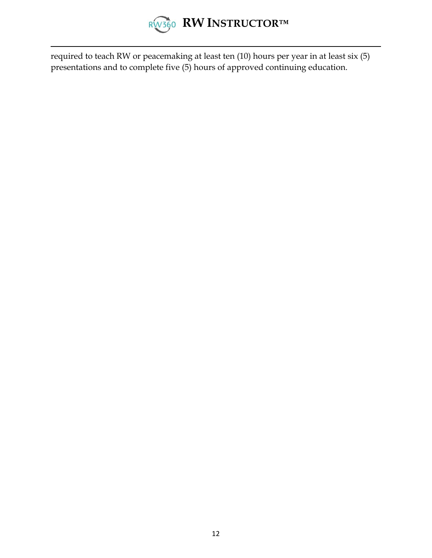

required to teach RW or peacemaking at least ten (10) hours per year in at least six (5) presentations and to complete five (5) hours of approved continuing education.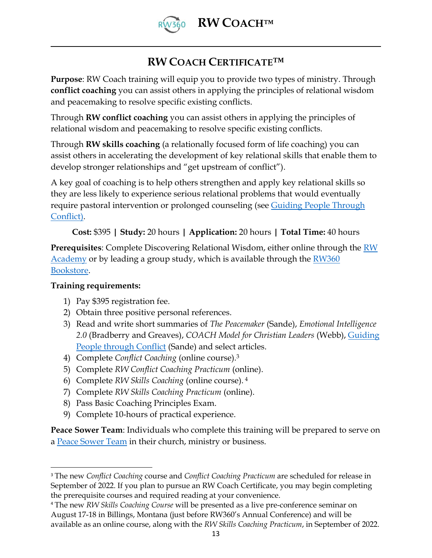

## **RW COACH CERTIFICATE™**

**Purpose**: RW Coach training will equip you to provide two types of ministry. Through **conflict coaching** you can assist others in applying the principles of relational wisdom and peacemaking to resolve specific existing conflicts.

Through **RW conflict coaching** you can assist others in applying the principles of relational wisdom and peacemaking to resolve specific existing conflicts.

Through **RW skills coaching** (a relationally focused form of life coaching) you can assist others in accelerating the development of key relational skills that enable them to develop stronger relationships and "get upstream of conflict").

A key goal of coaching is to help others strengthen and apply key relational skills so they are less likely to experience serious relational problems that would eventually require pastoral intervention or prolonged counseling (see [Guiding People](https://rw360.org/gctc) Through [Conflict\)](https://rw360.org/gctc).

#### **Cost:** \$395 **| Study:** 20 hours **| Application:** 20 hours **| Total Time:** 40 hours

**Prerequisites**: Complete Discovering Relational Wisdom, either online through the [RW](http://www.rw-academy.org/)  [Academy](http://www.rw-academy.org/) or by leading a group study, which is available through the RW360 [Bookstore.](https://rw360.org/shop/)

#### **Training requirements:**

- 1) Pay \$395 registration fee.
- 2) Obtain three positive personal references.
- 3) Read and write short summaries of *The Peacemaker* (Sande), *Emotional Intelligence 2.0* (Bradberry and Greaves), *COACH Model for Christian Leaders* (Webb), [Guiding](http://www.rw360.org/gptc)  [People through Conflict](http://www.rw360.org/gptc) (Sande) and select articles.
- 4) Complete *Conflict Coaching* (online course).<sup>3</sup>
- 5) Complete *RW Conflict Coaching Practicum* (online).
- 6) Complete *RW Skills Coaching* (online course). <sup>4</sup>
- 7) Complete *RW Skills Coaching Practicum* (online).
- 8) Pass Basic Coaching Principles Exam.
- 9) Complete 10-hours of practical experience.

**Peace Sower Team**: Individuals who complete this training will be prepared to serve on a [Peace Sower Team](https://rw360.org/peace-sower-team-training/) in their church, ministry or business.

<sup>3</sup> The new *Conflict Coaching* course and *Conflict Coaching Practicum* are scheduled for release in September of 2022. If you plan to pursue an RW Coach Certificate, you may begin completing the prerequisite courses and required reading at your convenience.

<sup>4</sup> The new *RW Skills Coaching Course* will be presented as a live pre-conference seminar on August 17-18 in Billings, Montana (just before RW360's Annual Conference) and will be available as an online course, along with the *RW Skills Coaching Practicum*, in September of 2022.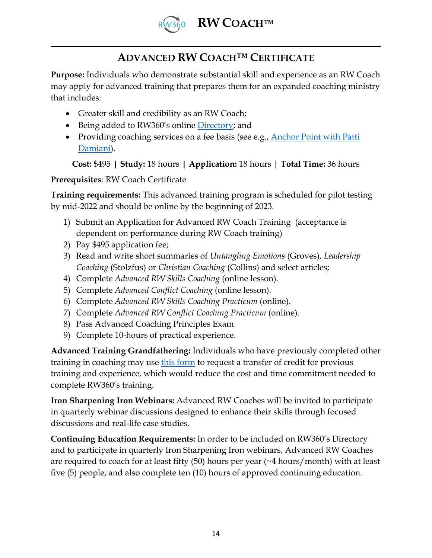

## **ADVANCED RW COACH™ CERTIFICATE**

**Purpose:** Individuals who demonstrate substantial skill and experience as an RW Coach may apply for advanced training that prepares them for an expanded coaching ministry that includes:

- Greater skill and credibility as an RW Coach;
- Being added to RW360's online [Directory;](https://rw360.org/directory/) and
- Providing coaching services on a fee basis (see e.g., Anchor Point with Patti [Damiani\)](https://anchorpointministry.org/relational-wisdom-2/).

**Cost:** \$495 **| Study:** 18 hours **| Application:** 18 hours **| Total Time:** 36 hours

#### **Prerequisites**: RW Coach Certificate

**Training requirements:** This advanced training program is scheduled for pilot testing by mid-2022 and should be online by the beginning of 2023.

- 1) Submit an Application for Advanced RW Coach Training (acceptance is dependent on performance during RW Coach training)
- 2) Pay \$495 application fee;
- 3) Read and write short summaries of *Untangling Emotions* (Groves), *Leadership Coaching* (Stolzfus) or *Christian Coaching* (Collins) and select articles;
- 4) Complete *Advanced RW Skills Coaching* (online lesson).
- 5) Complete *Advanced Conflict Coaching* (online lesson).
- 6) Complete *Advanced RW Skills Coaching Practicum* (online).
- 7) Complete *Advanced RW Conflict Coaching Practicum* (online).
- 8) Pass Advanced Coaching Principles Exam.
- 9) Complete 10-hours of practical experience.

**Advanced Training Grandfathering:** Individuals who have previously completed other training in coaching may use [this form](https://rw360.org/credit-transfer-request/) to request a transfer of credit for previous training and experience, which would reduce the cost and time commitment needed to complete RW360's training.

**Iron Sharpening Iron Webinars:** Advanced RW Coaches will be invited to participate in quarterly webinar discussions designed to enhance their skills through focused discussions and real-life case studies.

**Continuing Education Requirements:** In order to be included on RW360's Directory and to participate in quarterly Iron Sharpening Iron webinars, Advanced RW Coaches are required to coach for at least fifty (50) hours per year (~4 hours/month) with at least five (5) people, and also complete ten (10) hours of approved continuing education.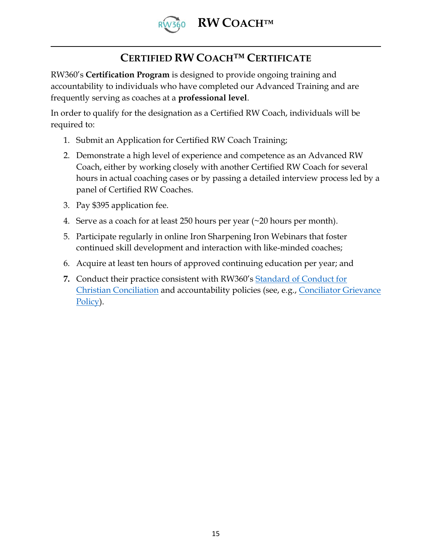

## **CERTIFIED RW COACH™ CERTIFICATE**

RW360's **Certification Program** is designed to provide ongoing training and accountability to individuals who have completed our Advanced Training and are frequently serving as coaches at a **professional level**.

In order to qualify for the designation as a Certified RW Coach, individuals will be required to:

- 1. Submit an Application for Certified RW Coach Training;
- 2. Demonstrate a high level of experience and competence as an Advanced RW Coach, either by working closely with another Certified RW Coach for several hours in actual coaching cases or by passing a detailed interview process led by a panel of Certified RW Coaches.
- 3. Pay \$395 application fee.
- 4. Serve as a coach for at least 250 hours per year (~20 hours per month).
- 5. Participate regularly in online Iron Sharpening Iron Webinars that foster continued skill development and interaction with like-minded coaches;
- 6. Acquire at least ten hours of approved continuing education per year; and
- **7.** Conduct their practice consistent with RW360's [Standard of Conduct for](https://rw360.org/standard-conduct-christian-conciliation/)  [Christian Conciliation](https://rw360.org/standard-conduct-christian-conciliation/) and accountability policies (see, e.g., [Conciliator Grievance](https://rw360.org/grievance-process/)  [Policy\)](https://rw360.org/grievance-process/).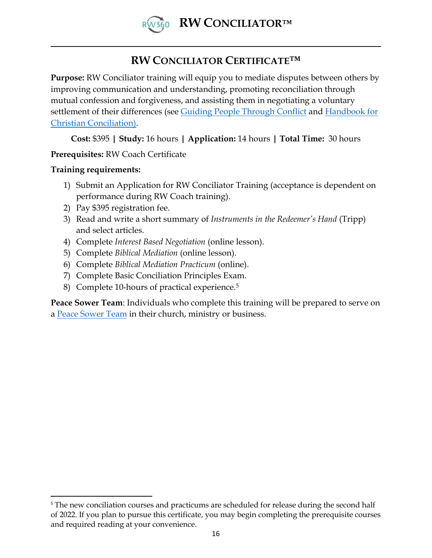

## **RW CONCILIATOR CERTIFICATE™**

**Purpose:** RW Conciliator training will equip you to mediate disputes between others by improving communication and understanding, promoting reconciliation through mutual confession and forgiveness, and assisting them in negotiating a voluntary settlement of their differences (see Guiding People [Through Conflict](https://rw360.org/gctc) and Handbook for [Christian Conciliation\)](http://www.rw360.org/ccshandbook).

**Cost:** \$395 **| Study:** 16 hours **| Application:** 14 hours **| Total Time:** 30 hours

**Prerequisites:** RW Coach Certificate

#### **Training requirements:**

- 1) Submit an Application for RW Conciliator Training (acceptance is dependent on performance during RW Coach training).
- 2) Pay \$395 registration fee.
- 3) Read and write a short summary of *Instruments in the Redeemer's Hand* (Tripp) and select articles.
- 4) Complete *Interest Based Negotiation* (online lesson).
- 5) Complete *Biblical Mediation* (online lesson).
- 6) Complete *Biblical Mediation Practicum* (online).
- 7) Complete Basic Conciliation Principles Exam.
- 8) Complete 10-hours of practical experience.<sup>5</sup>

**Peace Sower Team**: Individuals who complete this training will be prepared to serve on a [Peace Sower Team](https://rw360.org/peace-sower-team-training/) in their church, ministry or business.

<sup>&</sup>lt;sup>5</sup> The new conciliation courses and practicums are scheduled for release during the second half of 2022. If you plan to pursue this certificate, you may begin completing the prerequisite courses and required reading at your convenience.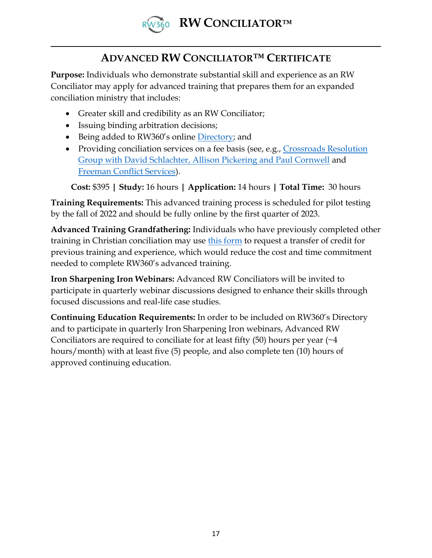

## **ADVANCED RW CONCILIATOR™ CERTIFICATE**

**Purpose:** Individuals who demonstrate substantial skill and experience as an RW Conciliator may apply for advanced training that prepares them for an expanded conciliation ministry that includes:

- Greater skill and credibility as an RW Conciliator;
- Issuing binding arbitration decisions;
- Being added to RW360's online [Directory;](https://rw360.org/directory/) and
- Providing conciliation services on a fee basis (see, e.g., Crossroads Resolution [Group with David Schlachter, Allison Pickering and Paul Cornwell](https://www.crossroadsresolution.com/) and [Freeman Conflict Services\)](https://freemanconflictservices.com/).

**Cost:** \$395 **| Study:** 16 hours **| Application:** 14 hours **| Total Time:** 30 hours

**Training Requirements:** This advanced training process is scheduled for pilot testing by the fall of 2022 and should be fully online by the first quarter of 2023.

**Advanced Training Grandfathering:** Individuals who have previously completed other training in Christian conciliation may use [this form](https://rw360.org/credit-transfer-request/) to request a transfer of credit for previous training and experience, which would reduce the cost and time commitment needed to complete RW360's advanced training.

**Iron Sharpening Iron Webinars:** Advanced RW Conciliators will be invited to participate in quarterly webinar discussions designed to enhance their skills through focused discussions and real-life case studies.

**Continuing Education Requirements:** In order to be included on RW360's Directory and to participate in quarterly Iron Sharpening Iron webinars, Advanced RW Conciliators are required to conciliate for at least fifty  $(50)$  hours per year  $(24)$ hours/month) with at least five (5) people, and also complete ten (10) hours of approved continuing education.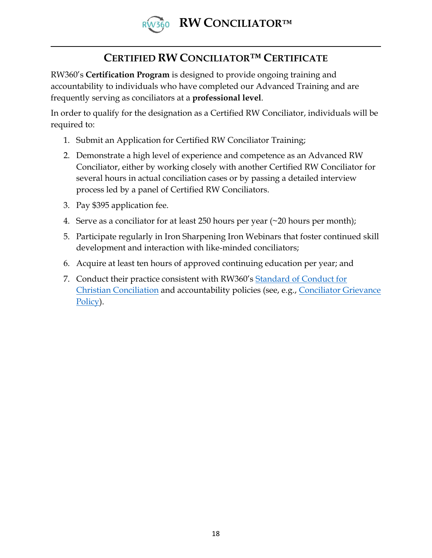

## **CERTIFIED RW CONCILIATOR™ CERTIFICATE**

RW360's **Certification Program** is designed to provide ongoing training and accountability to individuals who have completed our Advanced Training and are frequently serving as conciliators at a **professional level**.

In order to qualify for the designation as a Certified RW Conciliator, individuals will be required to:

- 1. Submit an Application for Certified RW Conciliator Training;
- 2. Demonstrate a high level of experience and competence as an Advanced RW Conciliator, either by working closely with another Certified RW Conciliator for several hours in actual conciliation cases or by passing a detailed interview process led by a panel of Certified RW Conciliators.
- 3. Pay \$395 application fee.
- 4. Serve as a conciliator for at least 250 hours per year (~20 hours per month);
- 5. Participate regularly in Iron Sharpening Iron Webinars that foster continued skill development and interaction with like-minded conciliators;
- 6. Acquire at least ten hours of approved continuing education per year; and
- 7. Conduct their practice consistent with RW360's [Standard of Conduct for](https://rw360.org/standard-conduct-christian-conciliation/)  [Christian Conciliation](https://rw360.org/standard-conduct-christian-conciliation/) and accountability policies (see, e.g., [Conciliator Grievance](https://rw360.org/grievance-process/)  [Policy\)](https://rw360.org/grievance-process/).